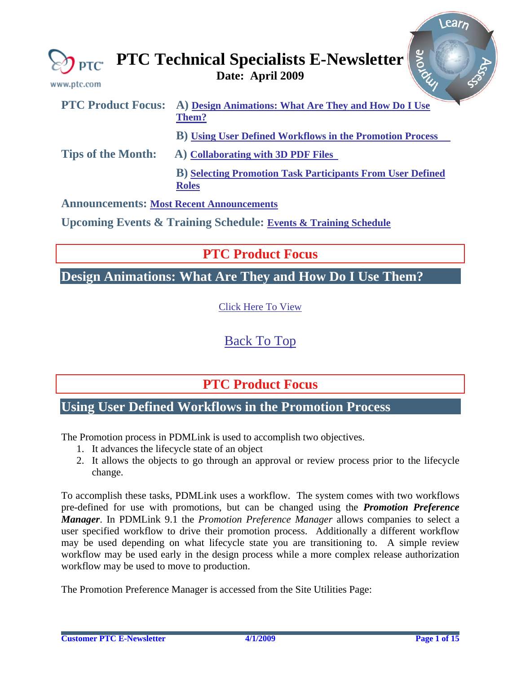<span id="page-0-0"></span>

| www.ptc.com                                     | <b>Arone</b><br>$\bigotimes_{\mathbf{PTC}}$ PTC Technical Specialists E-Newsletter |
|-------------------------------------------------|------------------------------------------------------------------------------------|
| <b>PTC Product Focus:</b>                       | A) Design Animations: What Are They and How Do I Use<br>Them?                      |
|                                                 | <b>B</b> ) Using User Defined Workflows in the Promotion Process                   |
| <b>Tips of the Month:</b>                       | A) Collaborating with 3D PDF Files                                                 |
|                                                 | <b>B)</b> Selecting Promotion Task Participants From User Defined<br><b>Roles</b>  |
| <b>Announcements: Most Recent Announcements</b> |                                                                                    |
|                                                 | <b>Upcoming Events &amp; Training Schedule: Events &amp; Training Schedule</b>     |

**PTC Product Focus** 

## **Design Animations: What Are They and How Do I Use Them?**

[Click Here To View](http://members.shaw.ca/jpeng/newsletter/PTC_Technical_Specialists_E-Newsletter_2009_04_desktop.pdf)

[Back To Top](#page-0-0)

**PTC Product Focus** 

### **Using User Defined Workflows in the Promotion Process**

The Promotion process in PDMLink is used to accomplish two objectives.

- 1. It advances the lifecycle state of an object
- 2. It allows the objects to go through an approval or review process prior to the lifecycle change.

To accomplish these tasks, PDMLink uses a workflow. The system comes with two workflows pre-defined for use with promotions, but can be changed using the *Promotion Preference Manager*. In PDMLink 9.1 the *Promotion Preference Manager* allows companies to select a user specified workflow to drive their promotion process. Additionally a different workflow may be used depending on what lifecycle state you are transitioning to. A simple review workflow may be used early in the design process while a more complex release authorization workflow may be used to move to production.

The Promotion Preference Manager is accessed from the Site Utilities Page:

**Searn**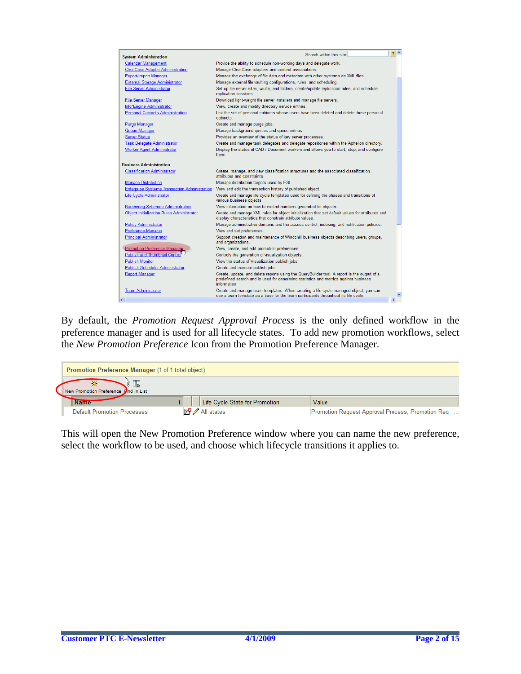| <b>System Administration</b>                         | Search within this site:                                                                                                                                                                           | $2^{\circ}$   |
|------------------------------------------------------|----------------------------------------------------------------------------------------------------------------------------------------------------------------------------------------------------|---------------|
| <b>Calendar Management</b>                           | Provide the ability to schedule non-working days and delegate work.                                                                                                                                |               |
| <b>ClearCase Adapter Administration</b>              | Manage ClearCase adapters and context associations.                                                                                                                                                |               |
| <b>Export/Import Manager</b>                         | Manage the exchange of file data and metadata with other systems via XML files.                                                                                                                    |               |
| <b>External Storage Administrator</b>                | Manage external file vaulting configurations, rules, and scheduling.                                                                                                                               |               |
| <b>File Server Administrator</b>                     | Set up file server sites, vaults, and folders, create/update replication rules, and schedule<br>replication sessions.                                                                              |               |
| <b>File Server Manager</b>                           | Download light-weight file server installers and manage file servers.                                                                                                                              |               |
| Info*Engine Administrator                            | View, create and modify directory service entries.                                                                                                                                                 |               |
| <b>Personal Cabinets Administration</b>              | List the set of personal cabinets whose users have been deleted and delete those personal<br>cabinets.                                                                                             |               |
| <b>Purge Manager</b>                                 | Create and manage purge jobs.                                                                                                                                                                      |               |
| Queue Manager                                        | Manage background queues and queue entries.                                                                                                                                                        |               |
| <b>Server Status</b>                                 | Provides an overview of the status of key server processes.                                                                                                                                        |               |
| <b>Task Delegate Administrator</b>                   | Create and manage task delegates and delegate repositories within the Aphelion directory.                                                                                                          |               |
| <b>Worker Agent Administrator</b>                    | Display the status of CAD / Document workers and allows you to start, stop, and configure<br>them                                                                                                  |               |
| <b>Business Administration</b>                       |                                                                                                                                                                                                    |               |
| <b>Classification Administrator</b>                  | Create, manage, and view classification structures and the associated classification<br>attributes and constraints                                                                                 |               |
| <b>Manage Distribution</b>                           | Manage distribution targets used by ESI.                                                                                                                                                           |               |
| <b>Enterprise Systems Transaction Administration</b> | View and edit the transaction history of published object.                                                                                                                                         |               |
| Life Cycle Administrator                             | Create and manage life cycle templates used for defining the phases and transitions of<br>various business objects.                                                                                |               |
| <b>Numbering Schemes Administration</b>              | View information on how to control numbers generated for objects.                                                                                                                                  |               |
| <b>Object Initialization Rules Administrator</b>     | Create and manage XML rules for object initialization that set default values for attributes and<br>display characteristics that constrain attribute values.                                       |               |
| <b>Policy Administrator</b>                          | Manage administrative domains and the access control, indexing, and notification policies.                                                                                                         |               |
| Preference Manager                                   | View and set preferences.                                                                                                                                                                          |               |
| <b>Principal Administrator</b>                       | Support creation and maintenance of Windchill business objects describing users, groups,<br>and organizations.                                                                                     |               |
| Promotion Preference Managen                         | View, create, and edit promotion preferences.                                                                                                                                                      |               |
| <b>Publish and Thumbnail Control</b>                 | Controls the generation of visualization objects.                                                                                                                                                  |               |
| <b>Publish Monitor</b>                               | View the status of Visualization publish jobs.                                                                                                                                                     |               |
| <b>Publish Scheduler Administrator</b>               | Create and execute publish jobs.                                                                                                                                                                   |               |
| <b>Report Manager</b>                                | Create, update, and delete reports using the QueryBuilder tool. A report is the output of a<br>predefined search and is used for generating statistics and metrics against business<br>information |               |
| <b>Team Administrator</b>                            | Create and manage team templates. When creating a life cycle-managed object, you can<br>use a team template as a base for the team participants throughout its life cycle.                         |               |
|                                                      |                                                                                                                                                                                                    | $\rightarrow$ |

By default, the *Promotion Request Approval Process* is the only defined workflow in the preference manager and is used for all lifecycle states. To add new promotion workflows, select the *New Promotion Preference* Icon from the Promotion Preference Manager.

| <b>Promotion Preference Manager (1 of 1 total object)</b> |                                |                                                   |
|-----------------------------------------------------------|--------------------------------|---------------------------------------------------|
| おいしょう<br>New Promotion Preference Bind in List            |                                |                                                   |
| <b>Name</b>                                               | Life Cycle State for Promotion | Value                                             |
| Default Promotion Processes                               | All states                     | Promotion Request Approval Process, Promotion Req |

This will open the New Promotion Preference window where you can name the new preference, select the workflow to be used, and choose which lifecycle transitions it applies to.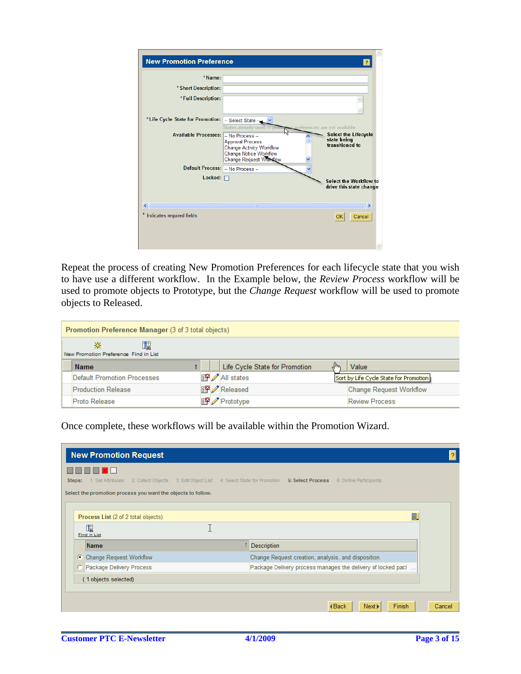| <b>New Promotion Preference</b>  |                                                                                                                                                                          | $\overline{?}$                                                                                |
|----------------------------------|--------------------------------------------------------------------------------------------------------------------------------------------------------------------------|-----------------------------------------------------------------------------------------------|
| *Name:                           |                                                                                                                                                                          |                                                                                               |
| * Short Description:             |                                                                                                                                                                          |                                                                                               |
| *Full Description:               |                                                                                                                                                                          |                                                                                               |
| *Life Cycle State for Promotion: | -- Select State --                                                                                                                                                       |                                                                                               |
| <b>Available Processes:</b>      | States already used in pro<br>-- No Process --<br><b>Approval Process</b><br><b>Change Activity Workflow</b><br><b>Change Notice Workflow</b><br>Change Request Workflow | eferences are not available.<br><b>Select the Lifecycle</b><br>state being<br>transitioned to |
| Default Process: - No Process -- |                                                                                                                                                                          |                                                                                               |
| Locked: $\Box$                   |                                                                                                                                                                          | Select the Workflow to<br>drive this state change                                             |
| $\left  \right $                 | ШI                                                                                                                                                                       | ∣∣≻                                                                                           |
| Indicates required fields.       |                                                                                                                                                                          | <b>OK</b><br>Cancel                                                                           |
|                                  |                                                                                                                                                                          |                                                                                               |

Repeat the process of creating New Promotion Preferences for each lifecycle state that you wish to have use a different workflow. In the Example below, the *Review Process* workflow will be used to promote objects to Prototype, but the *Change Request* workflow will be used to promote objects to Released.

|                           | Promotion Preference Manager (3 of 3 total objects) |  |  |                                |    |                                        |  |  |  |  |  |  |
|---------------------------|-----------------------------------------------------|--|--|--------------------------------|----|----------------------------------------|--|--|--|--|--|--|
| ⋇                         | 뻻<br>New Promotion Preference Find in List          |  |  |                                |    |                                        |  |  |  |  |  |  |
| <b>Name</b>               |                                                     |  |  | Life Cycle State for Promotion | "⊪ | Value                                  |  |  |  |  |  |  |
|                           | Default Promotion Processes                         |  |  | All states                     |    | Sort by Life Cycle State for Promotion |  |  |  |  |  |  |
| <b>Production Release</b> |                                                     |  |  | Released                       |    | <b>Change Request Workflow</b>         |  |  |  |  |  |  |
| Proto Release             |                                                     |  |  | Prototype                      |    | <b>Review Process</b>                  |  |  |  |  |  |  |

Once complete, these workflows will be available within the Promotion Wizard.

|        | <b>New Promotion Request</b>                                                      |                                                                                                                  | $\overline{2}$ |
|--------|-----------------------------------------------------------------------------------|------------------------------------------------------------------------------------------------------------------|----------------|
| Steps: | 1: Set Attributes<br>Select the promotion process you want the objects to follow. | 2: Collect Objects 3: Edit Object List 4: Select State for Promotion 5: Select Process<br>6: Define Participants |                |
|        | Process List (2 of 2 total objects)<br>飋<br>Find in List                          | 圕,                                                                                                               |                |
|        | <b>Name</b>                                                                       | Description                                                                                                      |                |
| Œ      | <b>Change Request Workflow</b>                                                    | Change Request creation, analysis, and disposition.                                                              |                |
|        | Package Delivery Process                                                          | Package Delivery process manages the delivery of locked pacl                                                     |                |
|        | (1 objects selected)                                                              |                                                                                                                  |                |
|        |                                                                                   | Finish<br><b>∢Back</b><br>Next ><br>Cancel                                                                       |                |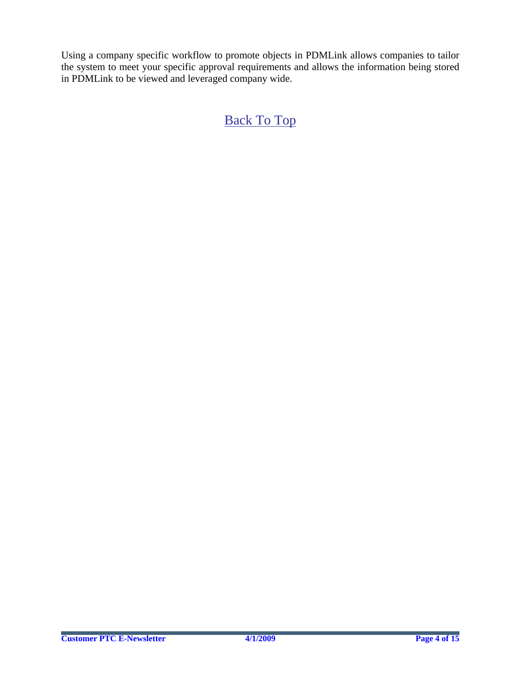Using a company specific workflow to promote objects in PDMLink allows companies to tailor the system to meet your specific approval requirements and allows the information being stored in PDMLink to be viewed and leveraged company wide.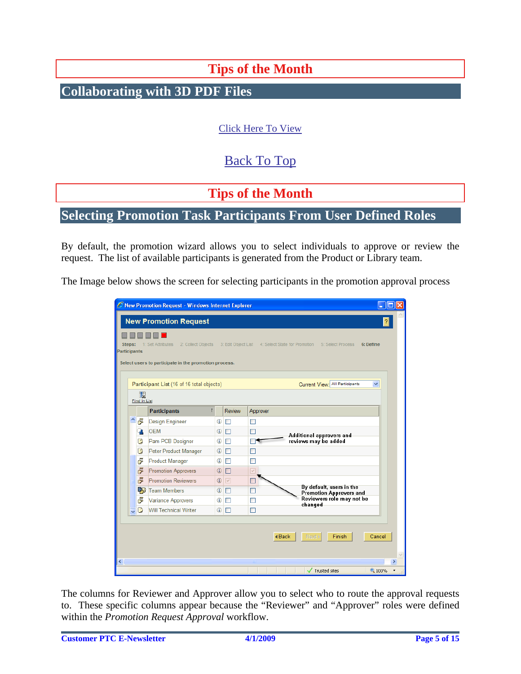# **Tips of the Month**

<span id="page-4-0"></span>**Collaborating with 3D PDF Files** 

### [Click Here To View](http://members.shaw.ca/jpeng/newsletter/PTC_Technical_Specialists_E-Newsletter_2009_04_desktop.pdf)

# [Back To Top](#page-0-0)

## **Tips of the Month**

### **Selecting Promotion Task Participants From User Defined Roles**

By default, the promotion wizard allows you to select individuals to approve or review the request. The list of available participants is generated from the Product or Library team.

The Image below shows the screen for selecting participants in the promotion approval process

|                        |                          | C New Promotion Request - Windows Internet Explorer<br><b>New Promotion Request</b> |                |                   |                      |                                                                                                     |               |
|------------------------|--------------------------|-------------------------------------------------------------------------------------|----------------|-------------------|----------------------|-----------------------------------------------------------------------------------------------------|---------------|
| Steps:<br>Participants |                          | 1: Set Attributes                                                                   |                |                   |                      | 2: Collect Objects 3: Edit Object List 4: Select State for Promotion 5: Select Process<br>6: Define |               |
|                        |                          | Select users to participate in the promotion process.                               |                |                   |                      |                                                                                                     |               |
|                        | 曯<br><b>Find in List</b> | Participant List (16 of 16 total objects)                                           |                |                   |                      | Current View: All Participants                                                                      | ×.            |
|                        |                          | <b>Participants</b>                                                                 | $\mathsf{r}$   | <b>Review</b>     | Approver             |                                                                                                     |               |
| 스                      | 卢                        | <b>Design Engineer</b>                                                              | $\circledcirc$ | П                 | П                    |                                                                                                     |               |
|                        | đ.                       | <b>OEM</b>                                                                          | $^{\circ}$     | П                 | П                    |                                                                                                     |               |
|                        | e                        | Pam PCB Designer                                                                    | ⊕              | П                 |                      | Additional approvers and<br>reviews may be added                                                    |               |
|                        | ₿                        | Peter Product Manager                                                               | ⊕              | П                 | ⊓                    |                                                                                                     |               |
|                        | 卢                        | <b>Product Manager</b>                                                              | ⊕              | П                 | П                    |                                                                                                     |               |
|                        | 卢                        | <b>Promotion Approvers</b>                                                          | $\odot$        | П                 | $\triangledown$      |                                                                                                     |               |
|                        | 占                        | <b>Promotion Reviewers</b>                                                          | $\circledcirc$ | $\overline{\vee}$ |                      |                                                                                                     |               |
|                        | -53                      | <b>Team Members</b>                                                                 | ⊕              | П                 | П                    | By default, users in the<br><b>Promotion Approvers and</b>                                          |               |
|                        | 卢                        | <b>Variance Approvers</b>                                                           | ⊕              | П                 | П                    | Reviewers role may not be<br>changed                                                                |               |
| $\ddot{\phantom{1}}$   | G                        | Will Technical Writer                                                               | ⊕              | П                 | П                    |                                                                                                     |               |
|                        |                          |                                                                                     |                |                   | $\triangleleft$ Back | Next I<br>Finish                                                                                    | Cancel        |
|                        |                          |                                                                                     |                |                   | ШI                   |                                                                                                     | ×             |
|                        |                          |                                                                                     |                |                   |                      | Trusted sites                                                                                       | <b>4 100%</b> |

The columns for Reviewer and Approver allow you to select who to route the approval requests to. These specific columns appear because the "Reviewer" and "Approver" roles were defined within the *Promotion Request Approval* workflow.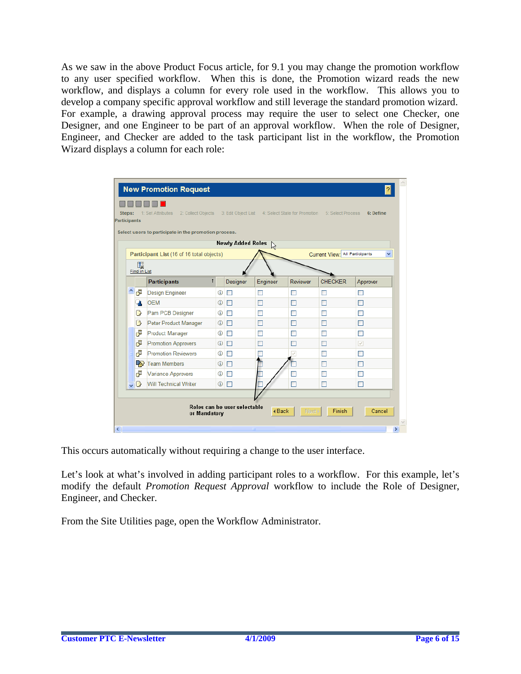As we saw in the above Product Focus article, for 9.1 you may change the promotion workflow to any user specified workflow. When this is done, the Promotion wizard reads the new workflow, and displays a column for every role used in the workflow. This allows you to develop a company specific approval workflow and still leverage the standard promotion wizard. For example, a drawing approval process may require the user to select one Checker, one Designer, and one Engineer to be part of an approval workflow. When the role of Designer, Engineer, and Checker are added to the task participant list in the workflow, the Promotion Wizard displays a column for each role:

|                         |              | <b>New Promotion Request</b>                                |              |                              |              |                               |                                | $\overline{?}$ |
|-------------------------|--------------|-------------------------------------------------------------|--------------|------------------------------|--------------|-------------------------------|--------------------------------|----------------|
| Steps:                  |              | 2: Collect Objects 3: Edit Object List<br>1: Set Attributes |              |                              |              | 4: Select State for Promotion | 5: Select Process              | 6: Define      |
| Participants            |              |                                                             |              |                              |              |                               |                                |                |
|                         |              | Select users to participate in the promotion process.       |              |                              |              |                               |                                |                |
|                         |              |                                                             |              | <b>Newly Added Roles</b>     | $\mathbb{Z}$ |                               |                                |                |
|                         |              | Participant List (16 of 16 total objects)                   |              |                              |              |                               | Current View: All Participants | v              |
|                         | 矙            |                                                             |              |                              |              |                               |                                |                |
|                         | Find in List |                                                             |              |                              |              |                               |                                |                |
|                         |              | <b>Participants</b>                                         | $\mathsf{r}$ | Designer                     | Engineer     | Reviewer                      | <b>CHECKER</b>                 | Approver       |
| Ą                       | F            | <b>Design Engineer</b>                                      | ⊕            | П                            | п            | п                             |                                | г              |
|                         |              | <b>OEM</b>                                                  | ⊕            | $\Box$                       | П            | П                             | П                              | П              |
|                         | B            | Pam PCB Designer                                            | ⊕            | $\Box$                       | П            | П                             | П                              | Г              |
|                         | B            | Peter Product Manager                                       | $^\circledR$ | $\Box$                       | П            | П                             | П                              | П              |
|                         | F            | <b>Product Manager</b>                                      | ⊕            | $\Box$                       | П            | <b>Tale</b>                   | п                              | Г              |
|                         | F            | <b>Promotion Approvers</b>                                  | ⊕            | П                            | ۰            | n.                            | П                              | ⊽              |
|                         | F            | <b>Promotion Reviewers</b>                                  | ⊕            | $\Box$                       |              |                               | ш                              | Г              |
|                         | ГŞ.          | <b>Team Members</b>                                         | ⊕            | $\Box$                       |              |                               | П                              | П              |
|                         | F            | Variance Approvers                                          | ⊕            | П                            |              |                               |                                | Г              |
| $\overline{\mathbf{v}}$ | B            | <b>Will Technical Writer</b>                                | ⊕            | П                            |              | П                             | П                              | П              |
|                         |              |                                                             |              |                              |              |                               |                                |                |
|                         |              | or Mandatory                                                |              | Roles can be user selectable | <b>∢Back</b> | Next I                        | Finish                         | Cancel         |

This occurs automatically without requiring a change to the user interface.

Let's look at what's involved in adding participant roles to a workflow. For this example, let's modify the default *Promotion Request Approval* workflow to include the Role of Designer, Engineer, and Checker.

From the Site Utilities page, open the Workflow Administrator.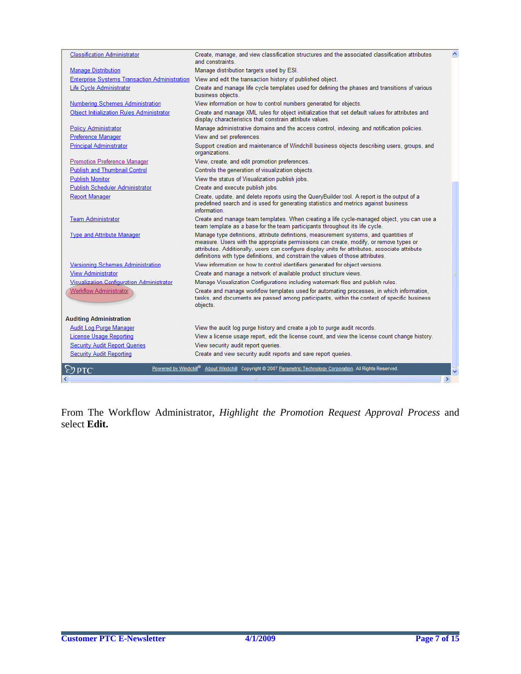| <b>Classification Administrator</b>                  | Create, manage, and view classification structures and the associated classification attributes<br>and constraints                                                                                                                                                                                                                                                      |   |
|------------------------------------------------------|-------------------------------------------------------------------------------------------------------------------------------------------------------------------------------------------------------------------------------------------------------------------------------------------------------------------------------------------------------------------------|---|
| <b>Manage Distribution</b>                           | Manage distribution targets used by ESI.                                                                                                                                                                                                                                                                                                                                |   |
| <b>Enterprise Systems Transaction Administration</b> | View and edit the transaction history of published object.                                                                                                                                                                                                                                                                                                              |   |
| Life Cycle Administrator                             | Create and manage life cycle templates used for defining the phases and transitions of various<br>business objects.                                                                                                                                                                                                                                                     |   |
| <b>Numbering Schemes Administration</b>              | View information on how to control numbers generated for objects.                                                                                                                                                                                                                                                                                                       |   |
| <b>Object Initialization Rules Administrator</b>     | Create and manage XML rules for object initialization that set default values for attributes and<br>display characteristics that constrain attribute values.                                                                                                                                                                                                            |   |
| <b>Policy Administrator</b>                          | Manage administrative domains and the access control, indexing, and notification policies.                                                                                                                                                                                                                                                                              |   |
| Preference Manager                                   | View and set preferences.                                                                                                                                                                                                                                                                                                                                               |   |
| <b>Principal Administrator</b>                       | Support creation and maintenance of Windchill business objects describing users, groups, and<br>organizations.                                                                                                                                                                                                                                                          |   |
| <b>Promotion Preference Manager</b>                  | View, create, and edit promotion preferences.                                                                                                                                                                                                                                                                                                                           |   |
| Publish and Thumbnail Control                        | Controls the generation of visualization objects.                                                                                                                                                                                                                                                                                                                       |   |
| <b>Publish Monitor</b>                               | View the status of Visualization publish jobs.                                                                                                                                                                                                                                                                                                                          |   |
| Publish Scheduler Administrator                      | Create and execute publish jobs.                                                                                                                                                                                                                                                                                                                                        |   |
| <b>Report Manager</b>                                | Create, update, and delete reports using the QueryBuilder tool. A report is the output of a<br>predefined search and is used for generating statistics and metrics against business<br>information.                                                                                                                                                                     |   |
| <b>Team Administrator</b>                            | Create and manage team templates. When creating a life cycle-managed object, you can use a<br>team template as a base for the team participants throughout its life cycle.                                                                                                                                                                                              |   |
| <b>Type and Attribute Manager</b>                    | Manage type definitions, attribute definitions, measurement systems, and quantities of<br>measure. Users with the appropriate permissions can create, modify, or remove types or<br>attributes. Additionally, users can configure display units for attributes, associate attribute<br>definitions with type definitions, and constrain the values of those attributes. |   |
| <b>Versioning Schemes Administration</b>             | View information on how to control identifiers generated for object versions.                                                                                                                                                                                                                                                                                           |   |
| <b>View Administrator</b>                            | Create and manage a network of available product structure views.                                                                                                                                                                                                                                                                                                       |   |
| Visualization Configuration Administrator            | Manage Visualization Configurations including watermark files and publish rules.                                                                                                                                                                                                                                                                                        |   |
| <b>Workflow Administrator</b>                        | Create and manage workflow templates used for automating processes, in which information,<br>tasks, and documents are passed among participants, within the context of specific business<br>objects.                                                                                                                                                                    |   |
| <b>Auditing Administration</b>                       |                                                                                                                                                                                                                                                                                                                                                                         |   |
| <b>Audit Log Purge Manager</b>                       | View the audit log purge history and create a job to purge audit records.                                                                                                                                                                                                                                                                                               |   |
| License Usage Reporting                              | View a license usage report, edit the license count, and view the license count change history.                                                                                                                                                                                                                                                                         |   |
| <b>Security Audit Report Queries</b>                 | View security audit report queries.                                                                                                                                                                                                                                                                                                                                     |   |
| <b>Security Audit Reporting</b>                      | Create and view security audit reports and save report queries.                                                                                                                                                                                                                                                                                                         |   |
| Powered by Windchill®<br><b>PTC</b>                  | About Windchill Copyright @ 2007 Parametric Technology Corporation. All Rights Reserved.                                                                                                                                                                                                                                                                                |   |
|                                                      | <b>TITLE</b>                                                                                                                                                                                                                                                                                                                                                            | × |
|                                                      |                                                                                                                                                                                                                                                                                                                                                                         |   |

From The Workflow Administrator, *Highlight the Promotion Request Approval Process* and select **Edit.**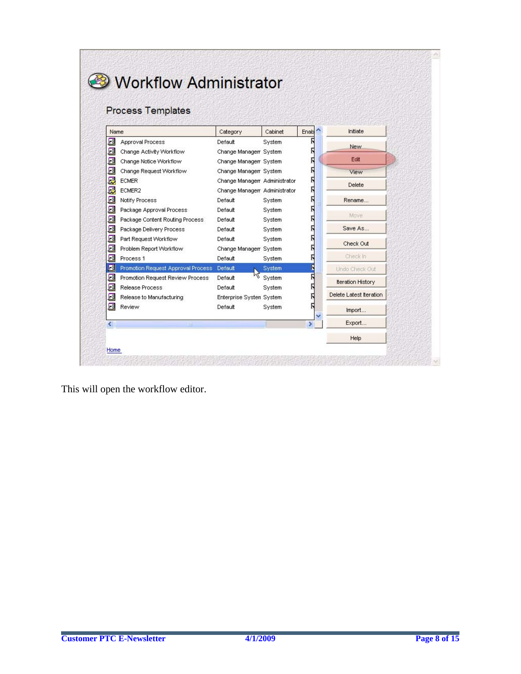| Name | <b>Process Templates</b>           |                               | Cabinet | ۸<br>Enab | Initiate                 |
|------|------------------------------------|-------------------------------|---------|-----------|--------------------------|
| ⊡    | <b>Approval Process</b>            | Category<br>Default           |         |           |                          |
| ⊠    | Change Activity Workflow           | Change Manager System         | System  | R         | New                      |
| ⊡    | Change Notice Workflow             | Change Manager System         |         | Ν         | Edit                     |
| ⊠    | Change Request Workflow            | Change Manager System         |         | Г         | View                     |
| 愿    | <b>ECMER</b>                       | Change Managerr Administrator |         | Ν         |                          |
| Ę    | ECMER2                             | Change Manager Administrator  |         | Ŋ         | Delete                   |
| ⊠    | Notify Process                     | Default                       | System  | Ŋ         | Rename                   |
| ▣    | Package Approval Process           | Default                       | System  | Г         |                          |
| ⊡    | Package Content Routing Process    | Default                       | System  |           | Move                     |
| 囻    | Package Delivery Process           | Default                       | System  |           | Save As                  |
| 囻    | Part Request Workflow              | Default                       | System  |           |                          |
| ▣    | Problem Report Workflow            | Change Manager System         |         |           | Check Out                |
| 囸    | Process <sub>1</sub>               | Default                       | System  |           | Check In                 |
| 国    | Promotion Request Approval Process | Default                       | System  | Π         | Undo Check Out           |
| ⊡    | Promotion Request Review Process   | Default                       | System  | π         | <b>Iteration History</b> |
| ⊡    | Release Process                    | Default                       | System  |           |                          |
| ⊠    | Release to Manufacturing           | Enterprise Systen System      |         |           | Delete Latest Iteration  |
|      | Review                             | Default                       | System  |           | Import                   |
| ⊡    |                                    |                               |         |           |                          |

This will open the workflow editor.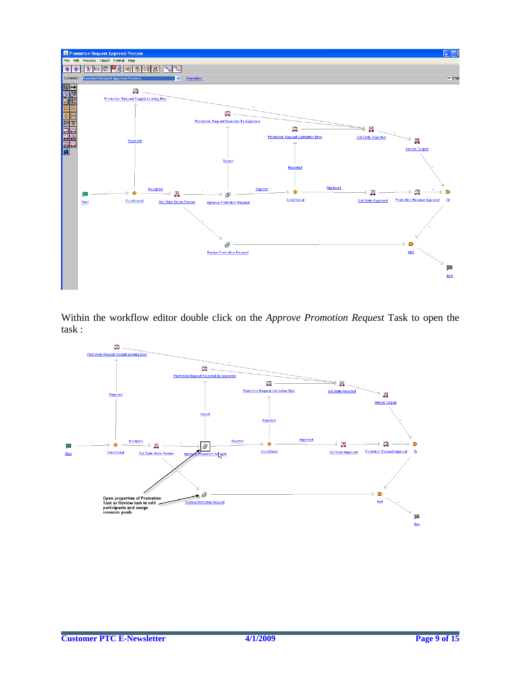

Within the workflow editor double click on the *Approve Promotion Request* Task to open the task :

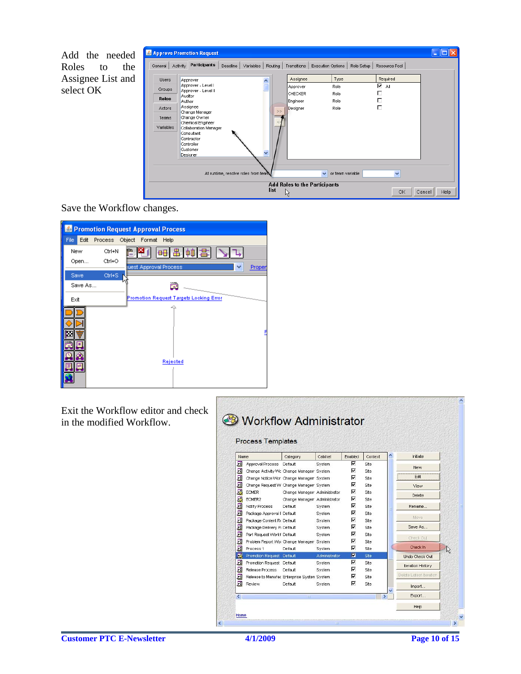Add the needed Roles to the Assignee List and select OK

|         |                                                           |                                                                | Approve Promotion Request                                                   |                                     |           |         |                                                          |                                                                          |            |                                     |        |      |
|---------|-----------------------------------------------------------|----------------------------------------------------------------|-----------------------------------------------------------------------------|-------------------------------------|-----------|---------|----------------------------------------------------------|--------------------------------------------------------------------------|------------|-------------------------------------|--------|------|
| General |                                                           | Activity                                                       | Participants                                                                | Deadline                            | Variables | Routing | Transitions                                              | Execution Options                                                        | Role Setup | Resource Pool                       |        |      |
|         | <b>Users</b><br>Groups<br><b>Roles</b><br>Actors<br>Teams | Approver<br>Auditor<br>Author<br>Assignee                      | Approver - Level I<br>Approver - Level II<br>Change Manager<br>Change Owner |                                     |           | ۸<br>>  | Assignee<br>Approver<br>ICHECKER<br>Engineer<br>Designer | Type<br>Role<br>Role<br>Role<br>Role                                     |            | Required<br>⊽<br>All<br>г<br>г<br>П |        |      |
|         | Variables                                                 | Consultant<br>Contractor<br>Controller<br>Customer<br>Designer | Chemical Engineer<br>Collaboration Manager                                  |                                     |           | v       |                                                          |                                                                          |            |                                     |        |      |
|         |                                                           |                                                                |                                                                             | At runtime, resolve roles from team |           | list    | Ŗ                                                        | or team variable<br>$\checkmark$<br><b>Add Roles to the Participants</b> |            | $\checkmark$<br><b>OK</b>           | Cancel | Help |

Save the Workflow changes.



Exit the Workflow editor and check in the modified Workflow.

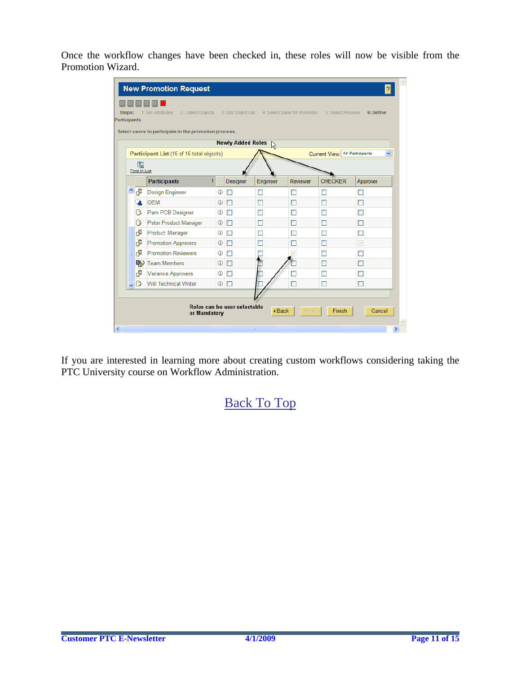Once the workflow changes have been checked in, these roles will now be visible from the Promotion Wizard.

| Steps: | Participants        | 2: Collect Objects<br>1: Set Attributes               |              | 3: Edit Object List          |                     |          | 4: Select State for Promotion 5: Select Process | 6: Define |
|--------|---------------------|-------------------------------------------------------|--------------|------------------------------|---------------------|----------|-------------------------------------------------|-----------|
|        |                     | Select users to participate in the promotion process. |              |                              |                     |          |                                                 |           |
|        |                     |                                                       |              | <b>Newly Added Roles</b>     | $\frac{1}{\lambda}$ |          |                                                 |           |
|        |                     | Participant List (16 of 16 total objects)             |              |                              |                     |          | Current View: All Participants                  | v         |
|        | 矙                   |                                                       |              |                              |                     |          |                                                 |           |
|        | <b>Find in List</b> |                                                       |              |                              |                     |          |                                                 |           |
|        |                     | <b>Participants</b>                                   | $\mathsf{r}$ | Designer                     | Engineer            | Reviewer | <b>CHECKER</b>                                  | Approver  |
| A      | F                   | Design Engineer                                       | ⊕            | П                            | ш                   | m        | П                                               | ш         |
|        |                     | <b>OEM</b>                                            | $\circ$      | П                            | П                   | m        | П                                               | □         |
|        | B                   | Pam PCB Designer                                      | ⊕            |                              |                     |          | П                                               |           |
|        | B                   | Peter Product Manager                                 | ⊕            | <b>Tale</b>                  | ٠                   |          | П                                               | m.        |
|        | F                   | <b>Product Manager</b>                                | $^\circledR$ | П                            | П                   |          | П                                               | п         |
|        | ₫                   | <b>Promotion Approvers</b>                            | $^{\circ}$   | П                            | $\blacksquare$      |          | П                                               | ☑         |
|        | F                   | <b>Promotion Reviewers</b>                            | ⊕            | П                            |                     |          | П                                               |           |
|        | ŖŞ,                 | <b>Team Members</b>                                   | ⊕            | П                            |                     |          | П                                               | m.        |
|        | F                   | Variance Approvers                                    | ⊕            | П                            |                     |          | $\Box$                                          | a.        |
|        | B                   | Will Technical Writer                                 | ⊕            | П                            |                     | □        | П                                               | П         |
|        |                     |                                                       |              |                              |                     |          |                                                 |           |
|        |                     |                                                       |              | Roles can be user selectable |                     |          |                                                 |           |
|        |                     | or Mandatory                                          |              |                              | <b>∢Back</b>        | Next >   | Finish                                          | Cancel    |

If you are interested in learning more about creating custom workflows considering taking the PTC University course on Workflow Administration.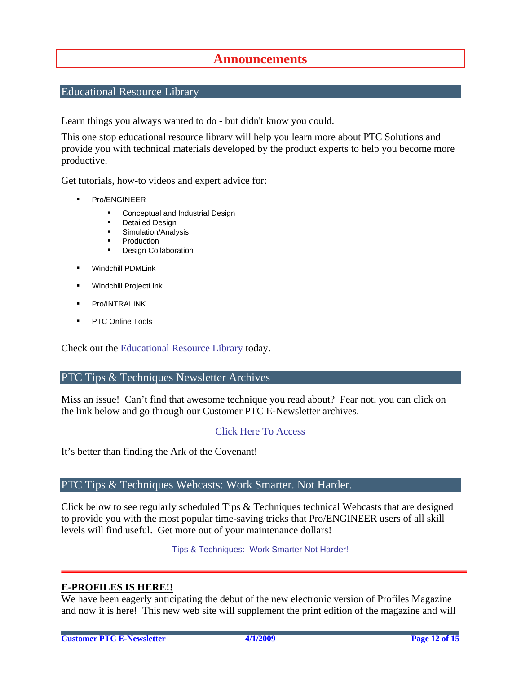### **Announcements**

#### <span id="page-11-0"></span>Educational Resource Library

Learn things you always wanted to do - but didn't know you could.

This one stop educational resource library will help you learn more about PTC Solutions and provide you with technical materials developed by the product experts to help you become more productive.

Get tutorials, how-to videos and expert advice for:

- **Pro/ENGINEER** 
	- **EXECONCEPT** Conceptual and Industrial Design
	- **•** Detailed Design
	- **Simulation/Analysis**
	- Production
	- Design Collaboration
- Windchill PDMLink
- Windchill ProjectLink
- Pro/INTRALINK
- PTC Online Tools

Check out the [Educational Resource Library](http://www.ptc.com/community/proewf/newtools/tutorials.htm) today.

#### PTC Tips & Techniques Newsletter Archives

Miss an issue! Can't find that awesome technique you read about? Fear not, you can click on the link below and go through our Customer PTC E-Newsletter archives.

#### [Click Here To Access](http://www.ptc.com/carezone/archive/index.htm)

It's better than finding the Ark of the Covenant!

#### PTC Tips & Techniques Webcasts: Work Smarter. Not Harder.

Click below to see regularly scheduled Tips & Techniques technical Webcasts that are designed to provide you with the most popular time-saving tricks that Pro/ENGINEER users of all skill levels will find useful. Get more out of your maintenance dollars!

[Tips & Techniques: Work Smarter Not Harder!](http://www.ptc.com/appserver/it/icm/cda/template_lib/events/series.jsp?&im_dbkey=11442&icg_dbkey=141)

#### **E-PROFILES IS HERE!!**

We have been eagerly anticipating the debut of the new electronic version of Profiles Magazine and now it is here! This new web site will supplement the print edition of the magazine and will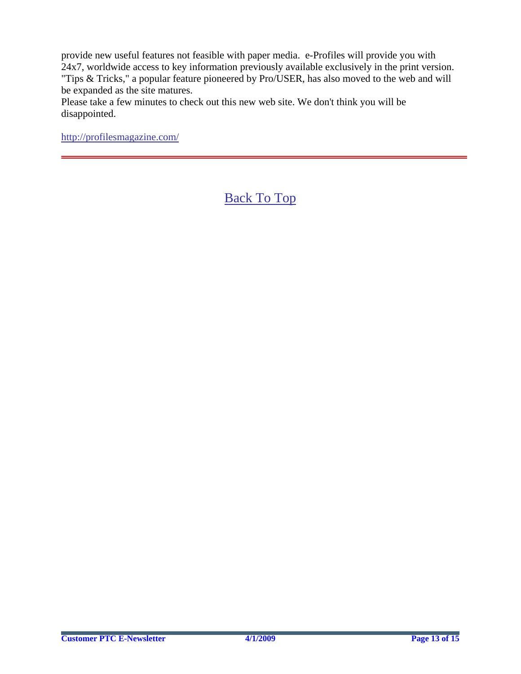provide new useful features not feasible with paper media. e-Profiles will provide you with 24x7, worldwide access to key information previously available exclusively in the print version. "Tips & Tricks," a popular feature pioneered by Pro/USER, has also moved to the web and will be expanded as the site matures.

Please take a few minutes to check out this new web site. We don't think you will be disappointed.

<http://profilesmagazine.com/>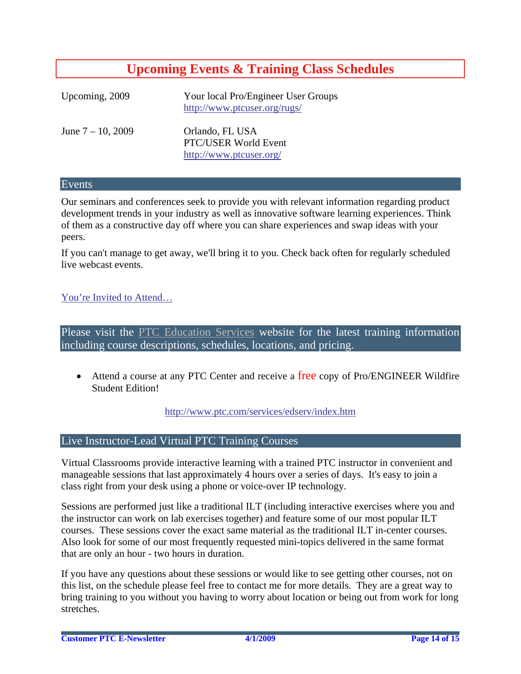# **Upcoming Events & Training Class Schedules**

<span id="page-13-0"></span>

| Upcoming, 2009       | Your local Pro/Engineer User Groups<br>http://www.ptcuser.org/rugs/ |
|----------------------|---------------------------------------------------------------------|
| June $7 - 10$ , 2009 | Orlando, FL USA<br>PTC/USER World Event<br>http://www.ptcuser.org/  |

#### Events

Our seminars and conferences seek to provide you with relevant information regarding product development trends in your industry as well as innovative software learning experiences. Think of them as a constructive day off where you can share experiences and swap ideas with your peers.

If you can't manage to get away, we'll bring it to you. Check back often for regularly scheduled live webcast events.

#### [You're Invited to Attend…](http://www.ptc.com/company/news/events/index.htm)

Please visit the [PTC Education Services](http://www.ptc.com/services/edserv/) website for the latest training information including course descriptions, schedules, locations, and pricing.

• Attend a course at any PTC Center and receive a free copy of Pro/ENGINEER Wildfire Student Edition!

<http://www.ptc.com/services/edserv/index.htm>

#### Live Instructor-Lead Virtual PTC Training Courses

Virtual Classrooms provide interactive learning with a trained PTC instructor in convenient and manageable sessions that last approximately 4 hours over a series of days. It's easy to join a class right from your desk using a phone or voice-over IP technology.

Sessions are performed just like a traditional ILT (including interactive exercises where you and the instructor can work on lab exercises together) and feature some of our most popular ILT courses. These sessions cover the exact same material as the traditional ILT in-center courses. Also look for some of our most frequently requested mini-topics delivered in the same format that are only an hour - two hours in duration.

If you have any questions about these sessions or would like to see getting other courses, not on this list, on the schedule please feel free to contact me for more details. They are a great way to bring training to you without you having to worry about location or being out from work for long stretches.